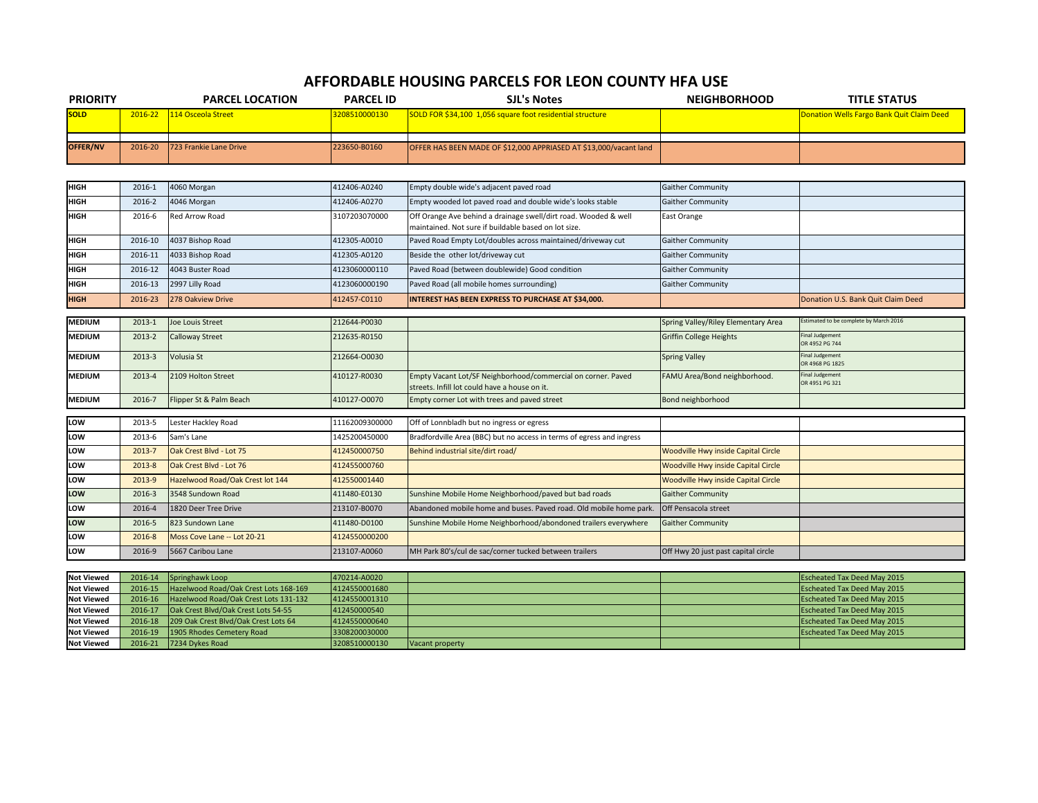## **AFFORDABLE HOUSING PARCELS FOR LEON COUNTY HFA USE**

| <b>PRIORITY</b>   |            | <b>PARCEL LOCATION</b>                | <b>PARCEL ID</b> | <b>SJL's Notes</b>                                                                                                      | <b>NEIGHBORHOOD</b>                 | <b>TITLE STATUS</b>                       |
|-------------------|------------|---------------------------------------|------------------|-------------------------------------------------------------------------------------------------------------------------|-------------------------------------|-------------------------------------------|
| <b>SOLD</b>       | 2016-22    | 114 Osceola Street                    | 3208510000130    | SOLD FOR \$34,100 1,056 square foot residential structure                                                               |                                     | Donation Wells Fargo Bank Quit Claim Deed |
|                   |            |                                       |                  |                                                                                                                         |                                     |                                           |
| OFFER/NV          | 2016-20    | 723 Frankie Lane Drive                | 223650-B0160     | OFFER HAS BEEN MADE OF \$12,000 APPRIASED AT \$13,000/vacant land                                                       |                                     |                                           |
|                   |            |                                       |                  |                                                                                                                         |                                     |                                           |
| <b>HIGH</b>       | 2016-1     | 4060 Morgan                           | 412406-A0240     | Empty double wide's adjacent paved road                                                                                 | <b>Gaither Community</b>            |                                           |
| <b>HIGH</b>       | 2016-2     | 4046 Morgan                           | 412406-A0270     | Empty wooded lot paved road and double wide's looks stable                                                              | <b>Gaither Community</b>            |                                           |
| <b>HIGH</b>       | 2016-6     | Red Arrow Road                        | 3107203070000    | Off Orange Ave behind a drainage swell/dirt road. Wooded & well<br>maintained. Not sure if buildable based on lot size. | East Orange                         |                                           |
| <b>HIGH</b>       | 2016-10    | 4037 Bishop Road                      | 412305-A0010     | Paved Road Empty Lot/doubles across maintained/driveway cut                                                             | <b>Gaither Community</b>            |                                           |
| <b>HIGH</b>       | 2016-11    | 4033 Bishop Road                      | 412305-A0120     | Beside the other lot/driveway cut                                                                                       | <b>Gaither Community</b>            |                                           |
| <b>HIGH</b>       | 2016-12    | 4043 Buster Road                      | 4123060000110    | Paved Road (between doublewide) Good condition                                                                          | Gaither Community                   |                                           |
| <b>HIGH</b>       | 2016-13    | 2997 Lilly Road                       | 4123060000190    | Paved Road (all mobile homes surrounding)                                                                               | <b>Gaither Community</b>            |                                           |
| <b>HIGH</b>       | 2016-23    | 278 Oakview Drive                     | 412457-C0110     | <b>INTEREST HAS BEEN EXPRESS TO PURCHASE AT \$34,000.</b>                                                               |                                     | Donation U.S. Bank Quit Claim Deed        |
|                   |            |                                       |                  |                                                                                                                         |                                     |                                           |
| <b>MEDIUM</b>     | $2013 - 1$ | <b>Joe Louis Street</b>               | 212644-P0030     |                                                                                                                         | Spring Valley/Riley Elementary Area | Estimated to be complete by March 2016    |
| <b>MEDIUM</b>     | 2013-2     | <b>Calloway Street</b>                | 212635-R0150     |                                                                                                                         | <b>Griffin College Heights</b>      | <b>Final Judgement</b><br>OR 4952 PG 744  |
| <b>MEDIUM</b>     | 2013-3     | Volusia St                            | 212664-00030     |                                                                                                                         | <b>Spring Valley</b>                | <b>Final Judgement</b><br>OR 4968 PG 1825 |
| <b>MEDIUM</b>     | 2013-4     | 2109 Holton Street                    | 410127-R0030     | Empty Vacant Lot/SF Neighborhood/commercial on corner. Paved<br>streets. Infill lot could have a house on it.           | FAMU Area/Bond neighborhood.        | Final Judgement<br>OR 4951 PG 321         |
| <b>MEDIUM</b>     | 2016-7     | Flipper St & Palm Beach               | 410127-00070     | Empty corner Lot with trees and paved street                                                                            | Bond neighborhood                   |                                           |
| LOW               | 2013-5     | Lester Hackley Road                   | 11162009300000   | Off of Lonnbladh but no ingress or egress                                                                               |                                     |                                           |
| LOW               | 2013-6     | Sam's Lane                            | 1425200450000    | Bradfordville Area (BBC) but no access in terms of egress and ingress                                                   |                                     |                                           |
| LOW               | 2013-7     | Oak Crest Blvd - Lot 75               | 412450000750     | Behind industrial site/dirt road/                                                                                       | Woodville Hwy inside Capital Circle |                                           |
| LOW               | 2013-8     | Oak Crest Blvd - Lot 76               | 412455000760     |                                                                                                                         | Woodville Hwy inside Capital Circle |                                           |
| LOW               | 2013-9     | Hazelwood Road/Oak Crest lot 144      | 412550001440     |                                                                                                                         | Woodville Hwy inside Capital Circle |                                           |
| LOW               | 2016-3     | 3548 Sundown Road                     | 411480-E0130     | Sunshine Mobile Home Neighborhood/paved but bad roads                                                                   | <b>Gaither Community</b>            |                                           |
| LOW               | 2016-4     | 1820 Deer Tree Drive                  | 213107-B0070     | Abandoned mobile home and buses. Paved road. Old mobile home park.                                                      | Off Pensacola street                |                                           |
| LOW               | 2016-5     | 823 Sundown Lane                      | 411480-D0100     | Sunshine Mobile Home Neighborhood/abondoned trailers everywhere                                                         | <b>Gaither Community</b>            |                                           |
| LOW               | 2016-8     | Moss Cove Lane -- Lot 20-21           | 4124550000200    |                                                                                                                         |                                     |                                           |
| LOW               | 2016-9     | 5667 Caribou Lane                     | 213107-A0060     | MH Park 80's/cul de sac/corner tucked between trailers                                                                  | Off Hwy 20 just past capital circle |                                           |
|                   |            |                                       |                  |                                                                                                                         |                                     |                                           |
| <b>Not Viewed</b> | 2016-14    | Springhawk Loop                       | 470214-A0020     |                                                                                                                         |                                     | <b>Escheated Tax Deed May 2015</b>        |
| <b>Not Viewed</b> | 2016-15    | Hazelwood Road/Oak Crest Lots 168-169 | 4124550001680    |                                                                                                                         |                                     | <b>Escheated Tax Deed May 2015</b>        |
| <b>Not Viewed</b> | 2016-16    | Hazelwood Road/Oak Crest Lots 131-132 | 4124550001310    |                                                                                                                         |                                     | <b>Escheated Tax Deed May 2015</b>        |

| <b>Not Viewed</b> | 2016-16 | Hazelwood Road/Oak Crest Lots 131-132 | 4124550001310 |                 | <b>Escheated Tax Deed May 2015</b> |
|-------------------|---------|---------------------------------------|---------------|-----------------|------------------------------------|
| <b>Not Viewed</b> | 2016-1  | Dak Crest Blvd/Oak Crest Lots 54-55   | 412450000540  |                 | <b>Escheated Tax Deed May 2015</b> |
| <b>Not Viewed</b> | 2016-18 | 209 Oak Crest Blyd/Oak Crest Lots 64  | 4124550000640 |                 | <b>Escheated Tax Deed May 2015</b> |
| <b>Not Viewed</b> | 2016-19 | 1905 Rhodes Cemetery Road             | 3308200030000 |                 | <b>Escheated Tax Deed May 2015</b> |
| <b>Not Viewed</b> | 2016-21 | 7234 Dykes Road                       | 3208510000130 | Vacant property |                                    |